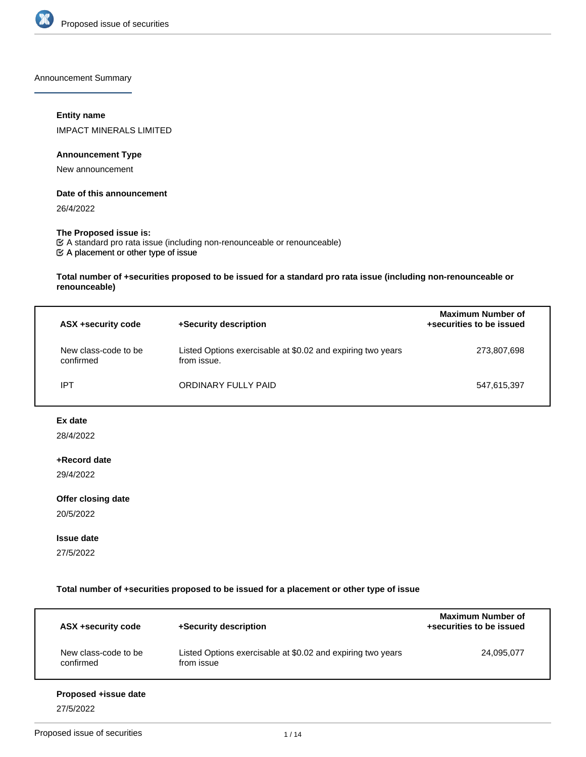

Announcement Summary

# **Entity name**

IMPACT MINERALS LIMITED

# **Announcement Type**

New announcement

## **Date of this announcement**

26/4/2022

# **The Proposed issue is:**

A placement or other type of issue A standard pro rata issue (including non-renounceable or renounceable)

**Total number of +securities proposed to be issued for a standard pro rata issue (including non-renounceable or renounceable)**

| ASX +security code                | +Security description                                                      | <b>Maximum Number of</b><br>+securities to be issued |
|-----------------------------------|----------------------------------------------------------------------------|------------------------------------------------------|
| New class-code to be<br>confirmed | Listed Options exercisable at \$0.02 and expiring two years<br>from issue. | 273,807,698                                          |
| IPT                               | ORDINARY FULLY PAID                                                        | 547,615,397                                          |

# **Ex date**

28/4/2022

# **+Record date**

29/4/2022

# **Offer closing date**

20/5/2022

# **Issue date**

27/5/2022

**Total number of +securities proposed to be issued for a placement or other type of issue**

| ASX +security code                | +Security description                                                     | <b>Maximum Number of</b><br>+securities to be issued |
|-----------------------------------|---------------------------------------------------------------------------|------------------------------------------------------|
| New class-code to be<br>confirmed | Listed Options exercisable at \$0.02 and expiring two years<br>from issue | 24,095,077                                           |
| Proposed + issue date             |                                                                           |                                                      |

27/5/2022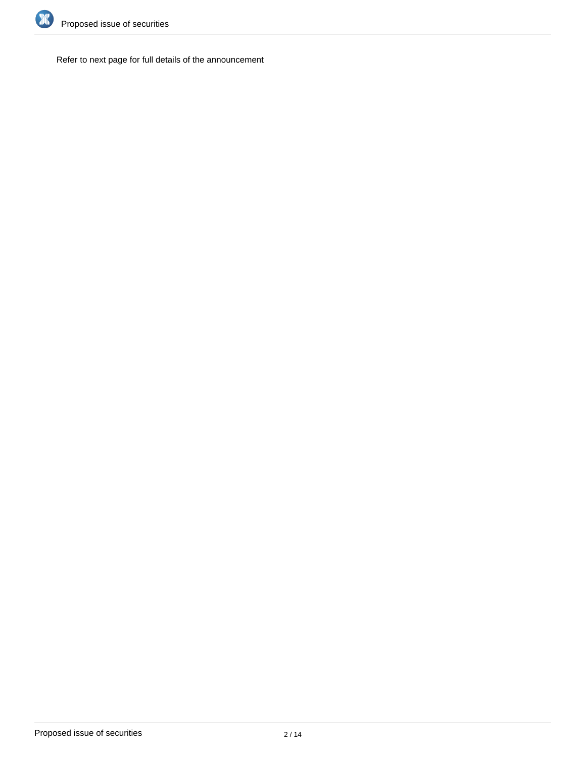

Refer to next page for full details of the announcement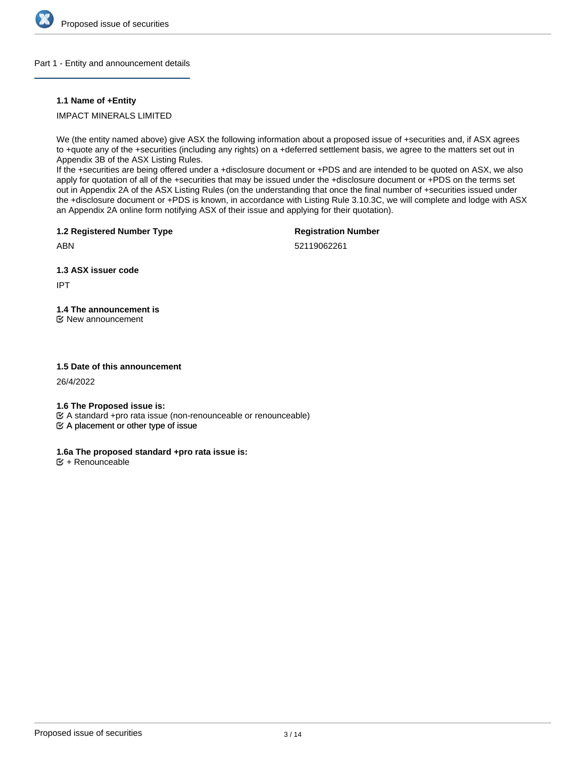

## Part 1 - Entity and announcement details

# **1.1 Name of +Entity**

IMPACT MINERALS LIMITED

We (the entity named above) give ASX the following information about a proposed issue of +securities and, if ASX agrees to +quote any of the +securities (including any rights) on a +deferred settlement basis, we agree to the matters set out in Appendix 3B of the ASX Listing Rules.

If the +securities are being offered under a +disclosure document or +PDS and are intended to be quoted on ASX, we also apply for quotation of all of the +securities that may be issued under the +disclosure document or +PDS on the terms set out in Appendix 2A of the ASX Listing Rules (on the understanding that once the final number of +securities issued under the +disclosure document or +PDS is known, in accordance with Listing Rule 3.10.3C, we will complete and lodge with ASX an Appendix 2A online form notifying ASX of their issue and applying for their quotation).

**1.2 Registered Number Type**

**Registration Number**

ABN

52119062261

**1.3 ASX issuer code**

IPT

**1.4 The announcement is**

New announcement

# **1.5 Date of this announcement**

26/4/2022

**1.6 The Proposed issue is:**

A standard +pro rata issue (non-renounceable or renounceable)

 $\mathfrak{S}$  A placement or other type of issue

# **1.6a The proposed standard +pro rata issue is:**

 **+ Renounceable**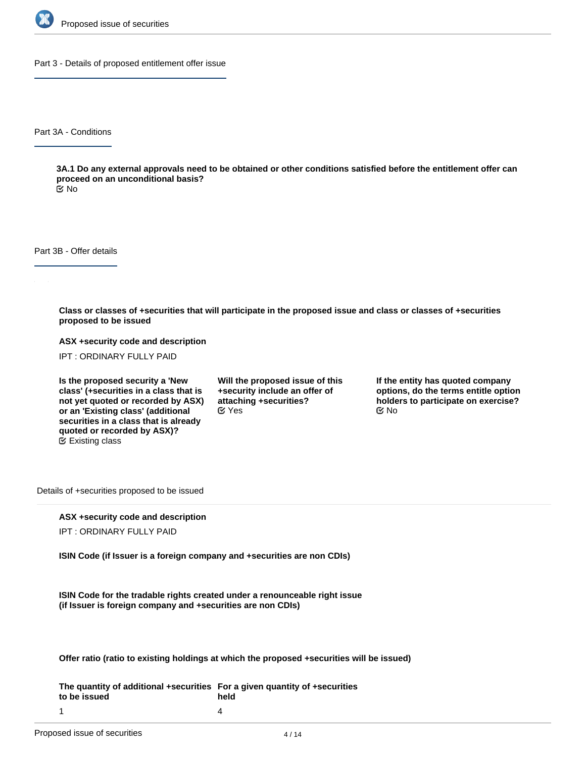

Part 3 - Details of proposed entitlement offer issue

Part 3A - Conditions

**3A.1 Do any external approvals need to be obtained or other conditions satisfied before the entitlement offer can proceed on an unconditional basis?**

No

Part 3B - Offer details

**Class or classes of +securities that will participate in the proposed issue and class or classes of +securities proposed to be issued**

**ASX +security code and description**

IPT : ORDINARY FULLY PAID

**Is the proposed security a 'New class' (+securities in a class that is not yet quoted or recorded by ASX) or an 'Existing class' (additional securities in a class that is already quoted or recorded by ASX)?** Existing class

**Will the proposed issue of this +security include an offer of attaching +securities?**  $C$  Yes  $C$  No

**If the entity has quoted company options, do the terms entitle option holders to participate on exercise?**

Details of +securities proposed to be issued

# **ASX +security code and description**

IPT : ORDINARY FULLY PAID

**ISIN Code (if Issuer is a foreign company and +securities are non CDIs)**

**ISIN Code for the tradable rights created under a renounceable right issue (if Issuer is foreign company and +securities are non CDIs)**

**Offer ratio (ratio to existing holdings at which the proposed +securities will be issued)**

**The quantity of additional +securities For a given quantity of +securities to be issued held** 4

1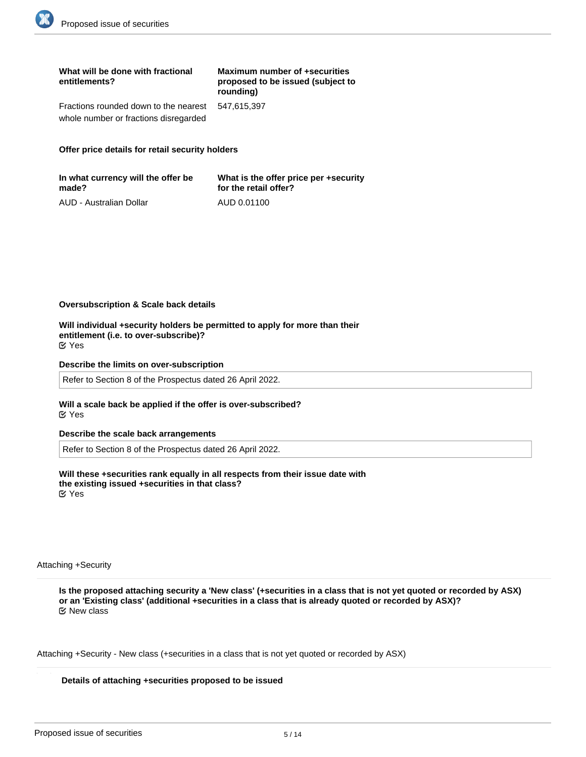| What will be done with fractional<br>entitlements? | Maximum number of +securities<br>proposed to be issued (subject to<br>rounding) |
|----------------------------------------------------|---------------------------------------------------------------------------------|
| Fractions rounded down to the nearest              | 547.615.397                                                                     |
| whole number or fractions disregarded              |                                                                                 |

## **Offer price details for retail security holders**

| In what currency will the offer be | What is the offer price per +security |
|------------------------------------|---------------------------------------|
| made?                              | for the retail offer?                 |
| AUD - Australian Dollar            | AUD 0.01100                           |

## **Oversubscription & Scale back details**

**Will individual +security holders be permitted to apply for more than their entitlement (i.e. to over-subscribe)?** Yes

#### **Describe the limits on over-subscription**

Refer to Section 8 of the Prospectus dated 26 April 2022.

#### **Will a scale back be applied if the offer is over-subscribed?** Yes

## **Describe the scale back arrangements**

Refer to Section 8 of the Prospectus dated 26 April 2022.

**Will these +securities rank equally in all respects from their issue date with the existing issued +securities in that class?** Yes

Attaching +Security

**Is the proposed attaching security a 'New class' (+securities in a class that is not yet quoted or recorded by ASX) or an 'Existing class' (additional +securities in a class that is already quoted or recorded by ASX)?** New class

Attaching +Security - New class (+securities in a class that is not yet quoted or recorded by ASX)

#### **Details of attaching +securities proposed to be issued**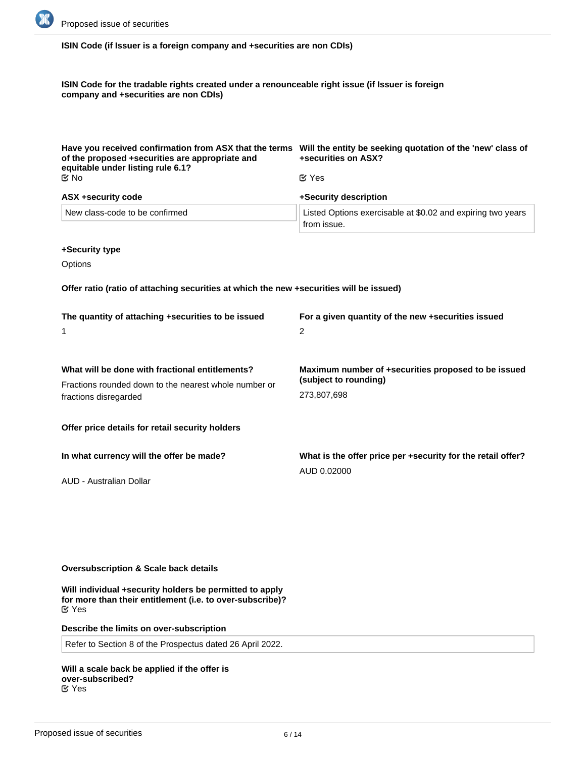

**ISIN Code (if Issuer is a foreign company and +securities are non CDIs)**

**ISIN Code for the tradable rights created under a renounceable right issue (if Issuer is foreign company and +securities are non CDIs)**

| Have you received confirmation from ASX that the terms<br>of the proposed +securities are appropriate and<br>equitable under listing rule 6.1? | Will the entity be seeking quotation of the 'new' class of<br>+securities on ASX? |
|------------------------------------------------------------------------------------------------------------------------------------------------|-----------------------------------------------------------------------------------|
| M No                                                                                                                                           | $\alpha$ Yes                                                                      |
| <b>ASX +security code</b>                                                                                                                      | +Security description                                                             |
| New class-code to be confirmed                                                                                                                 | Listed Options exercisable at \$0.02 and expiring two years<br>from issue.        |

## **+Security type**

**Options** 

**Offer ratio (ratio of attaching securities at which the new +securities will be issued)**

| The quantity of attaching +securities to be issued<br>1                                                  | For a given quantity of the new +securities issued<br>2                      |
|----------------------------------------------------------------------------------------------------------|------------------------------------------------------------------------------|
| What will be done with fractional entitlements?<br>Fractions rounded down to the nearest whole number or | Maximum number of +securities proposed to be issued<br>(subject to rounding) |
| fractions disregarded<br>Offer price details for retail security holders                                 | 273,807,698                                                                  |
| In what currency will the offer be made?                                                                 | What is the offer price per +security for the retail offer?                  |
| AUD - Australian Dollar                                                                                  | AUD 0.02000                                                                  |

# **Oversubscription & Scale back details**

**Will individual +security holders be permitted to apply for more than their entitlement (i.e. to over-subscribe)?** Yes

**Describe the limits on over-subscription**

Refer to Section 8 of the Prospectus dated 26 April 2022.

**Will a scale back be applied if the offer is over-subscribed?** Yes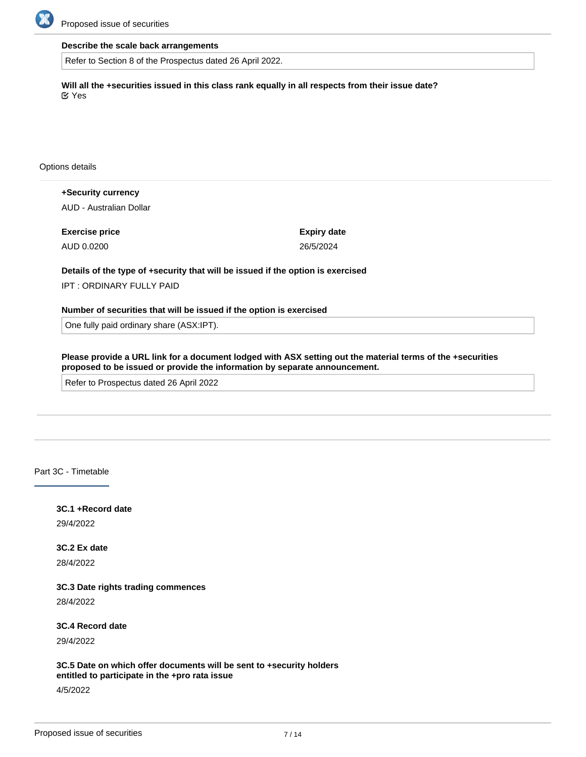

# **Describe the scale back arrangements**

Refer to Section 8 of the Prospectus dated 26 April 2022.

**Will all the +securities issued in this class rank equally in all respects from their issue date?** Yes

Options details

**+Security currency** AUD - Australian Dollar

**Exercise price** AUD 0.0200

**Expiry date** 26/5/2024

# **Details of the type of +security that will be issued if the option is exercised**

IPT : ORDINARY FULLY PAID

**Number of securities that will be issued if the option is exercised**

One fully paid ordinary share (ASX:IPT).

**Please provide a URL link for a document lodged with ASX setting out the material terms of the +securities proposed to be issued or provide the information by separate announcement.**

Refer to Prospectus dated 26 April 2022

Part 3C - Timetable

**3C.1 +Record date**

29/4/2022

**3C.2 Ex date** 28/4/2022

**3C.3 Date rights trading commences**

28/4/2022

**3C.4 Record date**

29/4/2022

**3C.5 Date on which offer documents will be sent to +security holders entitled to participate in the +pro rata issue**

4/5/2022

**3C.6 Offer closing date**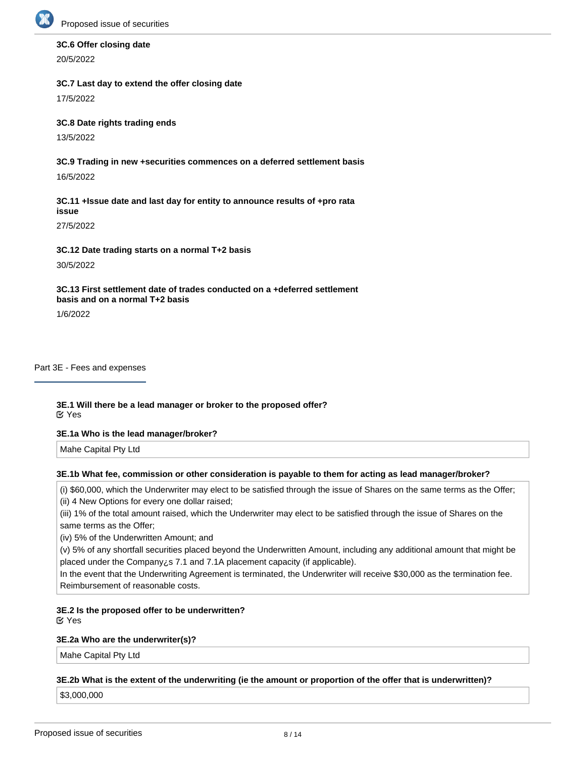

# **3C.6 Offer closing date**

20/5/2022

# **3C.7 Last day to extend the offer closing date**

17/5/2022

# **3C.8 Date rights trading ends**

13/5/2022

# **3C.9 Trading in new +securities commences on a deferred settlement basis**

16/5/2022

# **3C.11 +Issue date and last day for entity to announce results of +pro rata issue**

27/5/2022

# **3C.12 Date trading starts on a normal T+2 basis**

30/5/2022

# **3C.13 First settlement date of trades conducted on a +deferred settlement basis and on a normal T+2 basis**

1/6/2022

## Part 3E - Fees and expenses

# **3E.1 Will there be a lead manager or broker to the proposed offer?** Yes

# **3E.1a Who is the lead manager/broker?**

Mahe Capital Pty Ltd

# **3E.1b What fee, commission or other consideration is payable to them for acting as lead manager/broker?**

(i) \$60,000, which the Underwriter may elect to be satisfied through the issue of Shares on the same terms as the Offer; (ii) 4 New Options for every one dollar raised;

(iii) 1% of the total amount raised, which the Underwriter may elect to be satisfied through the issue of Shares on the same terms as the Offer;

(iv) 5% of the Underwritten Amount; and

(v) 5% of any shortfall securities placed beyond the Underwritten Amount, including any additional amount that might be placed under the Company¿s 7.1 and 7.1A placement capacity (if applicable).

In the event that the Underwriting Agreement is terminated, the Underwriter will receive \$30,000 as the termination fee. Reimbursement of reasonable costs.

#### **3E.2 Is the proposed offer to be underwritten?** Yes

# **3E.2a Who are the underwriter(s)?**

Mahe Capital Pty Ltd

# **3E.2b What is the extent of the underwriting (ie the amount or proportion of the offer that is underwritten)?**

**3E.2c What fees, commissions or other consideration are payable to them for acting as underwriter(s)?**

\$3,000,000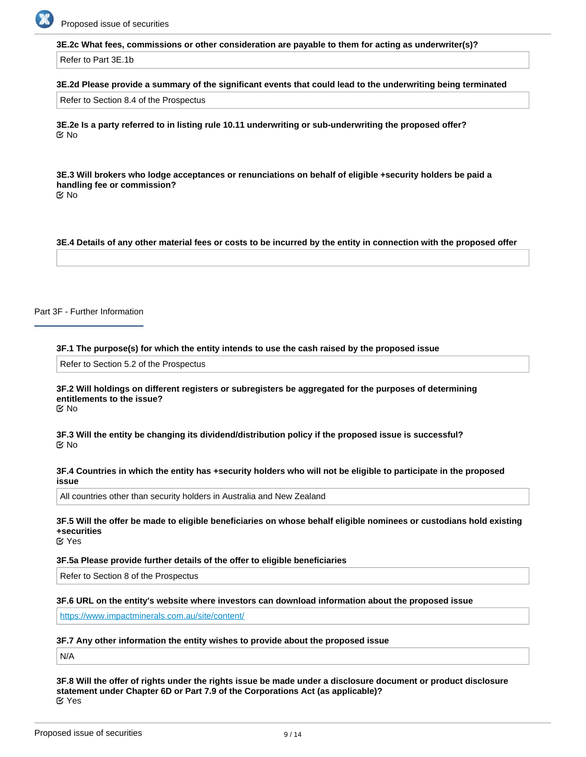

## **3E.2c What fees, commissions or other consideration are payable to them for acting as underwriter(s)?**

Refer to Part 3E.1b

## **3E.2d Please provide a summary of the significant events that could lead to the underwriting being terminated**

Refer to Section 8.4 of the Prospectus

**3E.2e Is a party referred to in listing rule 10.11 underwriting or sub-underwriting the proposed offer? I**∞ No

**3E.3 Will brokers who lodge acceptances or renunciations on behalf of eligible +security holders be paid a handling fee or commission?** No

**3E.4 Details of any other material fees or costs to be incurred by the entity in connection with the proposed offer**

Part 3F - Further Information

**3F.1 The purpose(s) for which the entity intends to use the cash raised by the proposed issue**

Refer to Section 5.2 of the Prospectus

#### **3F.2 Will holdings on different registers or subregisters be aggregated for the purposes of determining entitlements to the issue?** No

**3F.3 Will the entity be changing its dividend/distribution policy if the proposed issue is successful?** No

## **3F.4 Countries in which the entity has +security holders who will not be eligible to participate in the proposed issue**

All countries other than security holders in Australia and New Zealand

**3F.5 Will the offer be made to eligible beneficiaries on whose behalf eligible nominees or custodians hold existing +securities**

Yes

#### **3F.5a Please provide further details of the offer to eligible beneficiaries**

Refer to Section 8 of the Prospectus

**3F.6 URL on the entity's website where investors can download information about the proposed issue**

<https://www.impactminerals.com.au/site/content/>

## **3F.7 Any other information the entity wishes to provide about the proposed issue**

N/A

**3F.8 Will the offer of rights under the rights issue be made under a disclosure document or product disclosure statement under Chapter 6D or Part 7.9 of the Corporations Act (as applicable)?** Yes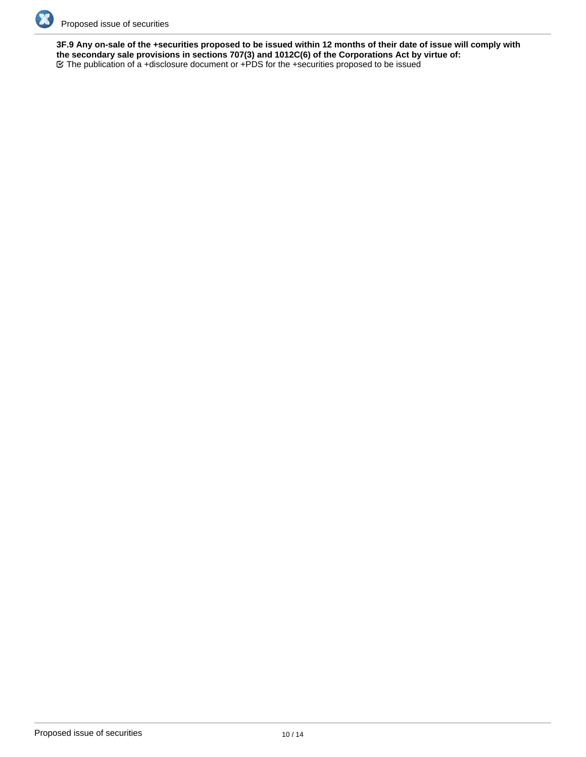

**3F.9 Any on-sale of the +securities proposed to be issued within 12 months of their date of issue will comply with the secondary sale provisions in sections 707(3) and 1012C(6) of the Corporations Act by virtue of:** The publication of a +disclosure document or +PDS for the +securities proposed to be issued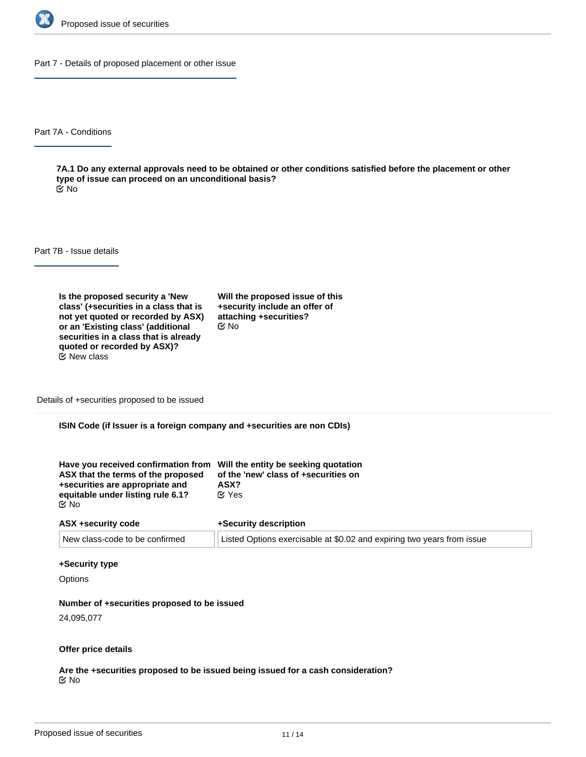

Part 7 - Details of proposed placement or other issue

Part 7A - Conditions

**7A.1 Do any external approvals need to be obtained or other conditions satisfied before the placement or other type of issue can proceed on an unconditional basis?** No

Part 7B - Issue details

**Is the proposed security a 'New class' (+securities in a class that is not yet quoted or recorded by ASX) or an 'Existing class' (additional securities in a class that is already quoted or recorded by ASX)?**  $E$  New class

**Will the proposed issue of this +security include an offer of attaching +securities?** No

Details of +securities proposed to be issued

**ISIN Code (if Issuer is a foreign company and +securities are non CDIs)**

| Have you received confirmation from Will the entity be seeking quotation<br>ASX that the terms of the proposed | of the 'new' class of +securities on |
|----------------------------------------------------------------------------------------------------------------|--------------------------------------|
| +securities are appropriate and                                                                                | ASX?                                 |
| equitable under listing rule 6.1?                                                                              | <b>K</b> Yes                         |
| C⁄No                                                                                                           |                                      |

| ASX +security code             | +Security description                                                  |  |
|--------------------------------|------------------------------------------------------------------------|--|
| New class-code to be confirmed | Listed Options exercisable at \$0.02 and expiring two years from issue |  |

## **+Security type**

**Options** 

#### **Number of +securities proposed to be issued**

24,095,077

## **Offer price details**

**Are the +securities proposed to be issued being issued for a cash consideration?** No

**Please describe the consideration being provided for the +securities**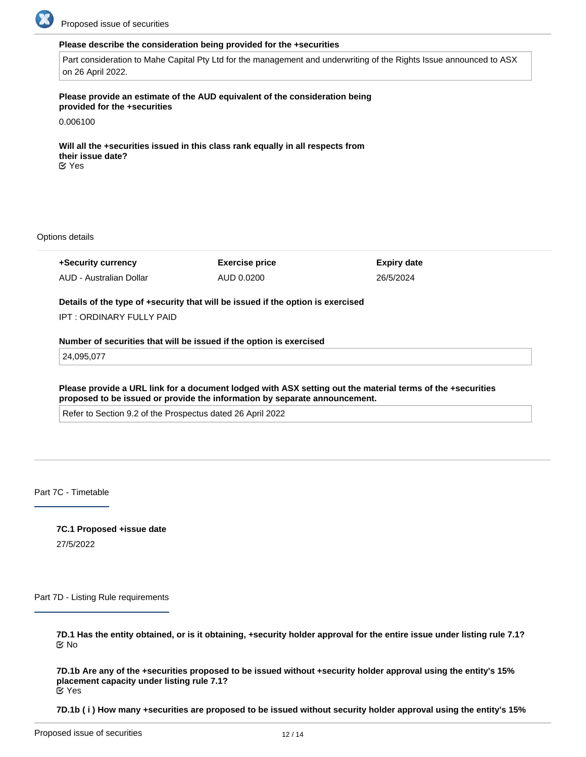

## **Please describe the consideration being provided for the +securities**

Part consideration to Mahe Capital Pty Ltd for the management and underwriting of the Rights Issue announced to ASX on 26 April 2022.

## **Please provide an estimate of the AUD equivalent of the consideration being provided for the +securities**

0.006100

**Will all the +securities issued in this class rank equally in all respects from their issue date?** Yes

Options details

**+Security currency** AUD - Australian Dollar **Exercise price** AUD 0.0200 **Expiry date** 26/5/2024 **Details of the type of +security that will be issued if the option is exercised** IPT : ORDINARY FULLY PAID **Number of securities that will be issued if the option is exercised**

24,095,077

**Please provide a URL link for a document lodged with ASX setting out the material terms of the +securities proposed to be issued or provide the information by separate announcement.**

Refer to Section 9.2 of the Prospectus dated 26 April 2022

Part 7C - Timetable

**7C.1 Proposed +issue date** 27/5/2022

Part 7D - Listing Rule requirements

**7D.1 Has the entity obtained, or is it obtaining, +security holder approval for the entire issue under listing rule 7.1?** No

**7D.1b Are any of the +securities proposed to be issued without +security holder approval using the entity's 15% placement capacity under listing rule 7.1?** Yes

**7D.1b ( i ) How many +securities are proposed to be issued without security holder approval using the entity's 15%**

**placement capacity under listing rule 7.1?**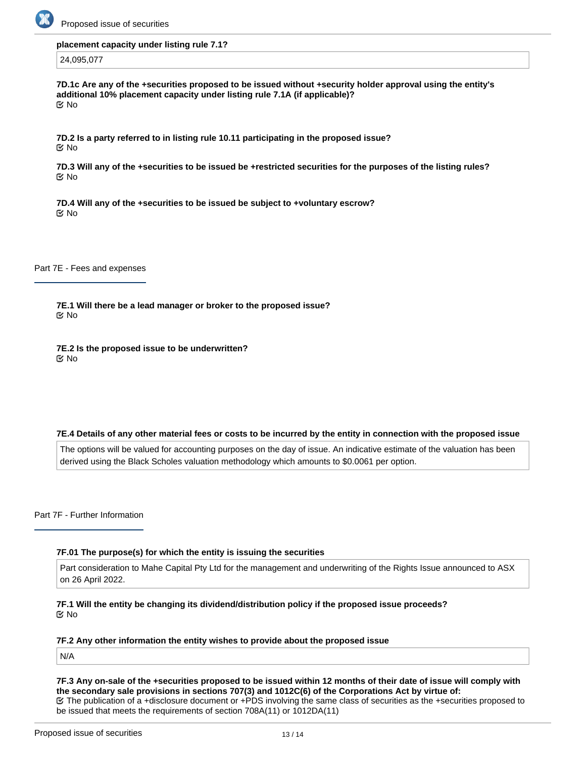

#### **placement capacity under listing rule 7.1?**

## 24,095,077

**7D.1c Are any of the +securities proposed to be issued without +security holder approval using the entity's additional 10% placement capacity under listing rule 7.1A (if applicable)?** No

**7D.2 Is a party referred to in listing rule 10.11 participating in the proposed issue?** No

**7D.3 Will any of the +securities to be issued be +restricted securities for the purposes of the listing rules?** No

**7D.4 Will any of the +securities to be issued be subject to +voluntary escrow?** No

Part 7E - Fees and expenses

**7E.1 Will there be a lead manager or broker to the proposed issue?** No

**7E.2 Is the proposed issue to be underwritten?** No

#### **7E.4 Details of any other material fees or costs to be incurred by the entity in connection with the proposed issue**

The options will be valued for accounting purposes on the day of issue. An indicative estimate of the valuation has been derived using the Black Scholes valuation methodology which amounts to \$0.0061 per option.

Part 7F - Further Information

## **7F.01 The purpose(s) for which the entity is issuing the securities**

Part consideration to Mahe Capital Pty Ltd for the management and underwriting of the Rights Issue announced to ASX on 26 April 2022.

**7F.1 Will the entity be changing its dividend/distribution policy if the proposed issue proceeds?** No

# **7F.2 Any other information the entity wishes to provide about the proposed issue**

N/A

**7F.3 Any on-sale of the +securities proposed to be issued within 12 months of their date of issue will comply with the secondary sale provisions in sections 707(3) and 1012C(6) of the Corporations Act by virtue of:** The publication of a +disclosure document or +PDS involving the same class of securities as the +securities proposed to be issued that meets the requirements of section 708A(11) or 1012DA(11)